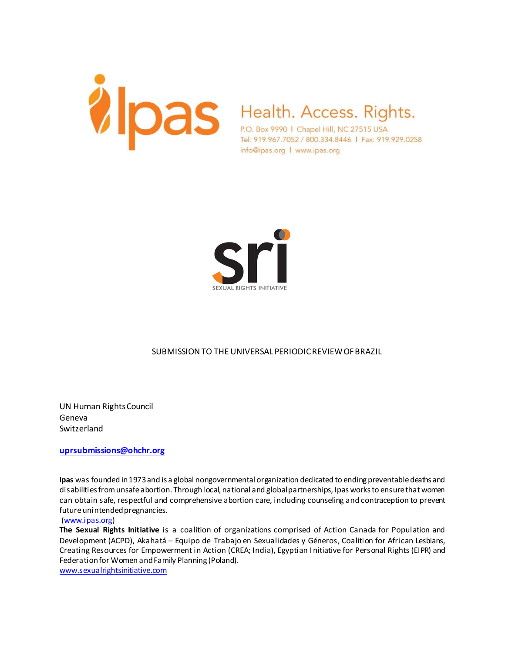

Tel: 919.967.7052 / 800.334.8446 | Fax: 919.929.0258 info@ipas.org | www.ipas.org



## SUBMISSION TO THE UNIVERSAL PERIODIC REVIEW OF BRAZIL

UN Human Rights Council Geneva Switzerland

**uprsubmissions@ohchr.org**

**Ipas** was founded in 1973 and is a global nongovernmental organization dedicated to ending preventable deaths and disabilities from unsafe abortion. Through local, national and global partnerships, Ipas works to ensure that women can obtain safe, respectful and comprehensive abortion care, including counseling and contraception to prevent future unintended pregnancies.

#### (www.ipas.org)

**The Sexual Rights Initiative** is a coalition of organizations comprised of Action Canada for Population and Development (ACPD), Akahatá – Equipo de Trabajo en Sexualidades y Géneros, Coalition for African Lesbians, Creating Resources for Empowerment in Action (CREA; India), Egyptian Initiative for Personal Rights (EIPR) and Federation for Women and Family Planning (Poland).

www.sexualrightsinitiative.com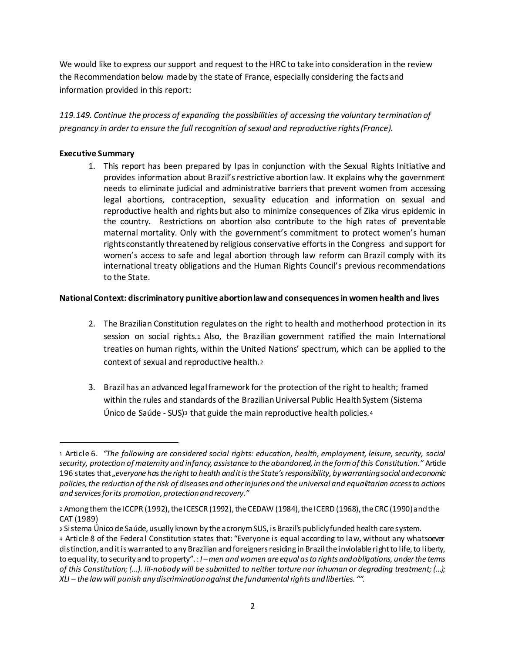We would like to express our support and request to the HRC to take into consideration in the review the Recommendation below made by the state of France, especially considering the facts and information provided in this report:

*119.149. Continue the process of expanding the possibilities of accessing the voluntary termination of pregnancy in order to ensure the full recognition of sexual and reproductive rights (France).*

## **Executive Summary**

l

1. This report has been prepared by Ipas in conjunction with the Sexual Rights Initiative and provides information about Brazil's restrictive abortion law. It explains why the government needs to eliminate judicial and administrative barriers that prevent women from accessing legal abortions, contraception, sexuality education and information on sexual and reproductive health and rights but also to minimize consequences of Zika virus epidemic in the country. Restrictions on abortion also contribute to the high rates of preventable maternal mortality. Only with the government's commitment to protect women's human rights constantly threatened by religious conservative efforts in the Congress and support for women's access to safe and legal abortion through law reform can Brazil comply with its international treaty obligations and the Human Rights Council's previous recommendations to the State.

#### **National Context: discriminatory punitive abortion lawand consequences in women health and lives**

- 2. The Brazilian Constitution regulates on the right to health and motherhood protection in its session on social rights.<sup>1</sup> Also, the Brazilian government ratified the main International treaties on human rights, within the United Nations' spectrum, which can be applied to the context of sexual and reproductive health.<sup>2</sup>
- 3. Brazil has an advanced legal framework for the protection of the right to health; framed within the rules and standards of the Brazilian Universal Public Health System (Sistema Único de Saúde - SUS)<sup>3</sup> that guide the main reproductive health policies.<sup>4</sup>

<sup>1</sup> Article 6. *"The following are considered social rights: education, health, employment, leisure, security, social security, protection of maternity and infancy, assistance to the abandoned, in the form of this Constitution."* Article 196 states that *"everyone has the right to health and it is the State's responsibility, by warranting social and economic policies, the reduction of the risk of diseases and other injuries and the universal and equalitarian access to actions and services for its promotion, protection and recovery."*

<sup>2</sup> Among them the ICCPR (1992), the ICESCR (1992), the CEDAW (1984), the ICERD (1968), the CRC (1990)and the CAT (1989)

<sup>3</sup> Sistema Único de Saúde, usually known by the acronym SUS, is Brazil's publicly funded health care system.

<sup>4</sup> Article 8 of the Federal Constitution states that: "Everyone is equal according to law, without any whatsoever distinction, and it is warranted to any Brazilian and foreigners residing in Brazil the inviolable right to life, to liberty, to equality, to security and to property". : *I –men and women are equal as to rights and obligations, under the terms of this Constitution; (...). III-nobody will be submitted to neither torture nor inhuman or degrading treatment; (...); XLI – the law will punish any discrimination against the fundamental rights and liberties. "".*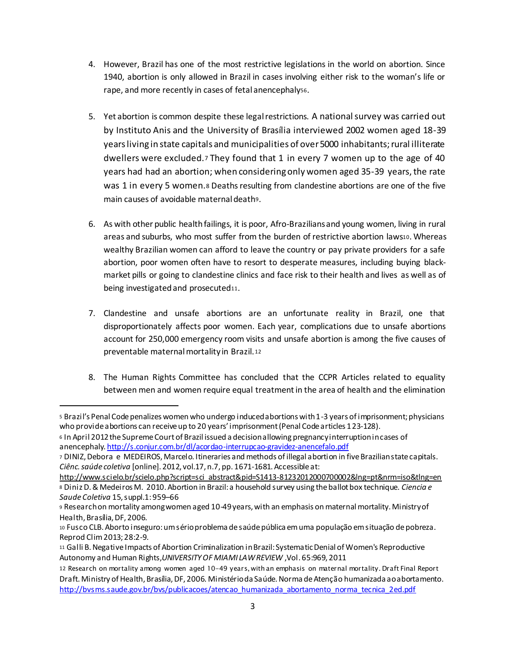- 4. However, Brazil has one of the most restrictive legislations in the world on abortion. Since 1940, abortion is only allowed in Brazil in cases involving either risk to the woman's life or rape, and more recently in cases of fetal anencephaly56.
- 5. Yet abortion is common despite these legal restrictions. A national survey was carried out by Instituto Anis and the University of Brasília interviewed 2002 women aged 18-39 years living in state capitals and municipalities of over 5000 inhabitants; rural illiterate dwellers were excluded.<sup>7</sup> They found that 1 in every 7 women up to the age of 40 years had had an abortion; when considering only women aged 35-39 years, the rate was 1 in every 5 women.<sup>8</sup> Deaths resulting from clandestine abortions are one of the five main causes of avoidable maternal death9.
- 6. As with other public health failings, it is poor, Afro-Brazilians and young women, living in rural areas and suburbs, who most suffer from the burden of restrictive abortion laws10. Whereas wealthy Brazilian women can afford to leave the country or pay private providers for a safe abortion, poor women often have to resort to desperate measures, including buying blackmarket pills or going to clandestine clinics and face risk to their health and lives as well as of being investigated and prosecuted<sup>11</sup>.
- 7. Clandestine and unsafe abortions are an unfortunate reality in Brazil, one that disproportionately affects poor women. Each year, complications due to unsafe abortions account for 250,000 emergency room visits and unsafe abortion is among the five causes of preventable maternal mortality in Brazil.<sup>12</sup>
- 8. The Human Rights Committee has concluded that the CCPR Articles related to equality between men and women require equal treatment in the area of health and the elimination

<sup>5</sup> Brazil's Penal Code penalizes women who undergo induced abortions with 1-3 years of imprisonment; physicians who provide abortions can receive up to 20 years' imprisonment (Penal Code articles 123-128).

<sup>6</sup> In April 2012 the Supreme Court of Brazil issued a decision allowing pregnancy interruption in cases of anencephaly. http://s.conjur.com.br/dl/acordao-interrupcao-gravidez-anencefalo.pdf

<sup>7</sup> DINIZ, Debora e MEDEIROS, Marcelo. Itineraries and methods of illegal abortion in five Brazilian state capitals. *Ciênc. saúde coletiva* [online]. 2012, vol.17, n.7, pp. 1671-1681. Accessible at:

http://www.scielo.br/scielo.php?script=sci\_abstract&pid=S1413-81232012000700002&lng=pt&nrm=iso&tlng=en <sup>8</sup> Diniz D. & Medeiros M. 2010. Abortion in Brazil: a household survey using the ballot box technique. *Ciencia e Saude Coletiva* 15, suppl.1: 959–66

<sup>9</sup> Research on mortality among women aged 10-49 years, with an emphasis on maternal mortality. Ministry of Health, Brasília, DF, 2006.

<sup>10</sup> Fusco CLB. Aborto inseguro: um sério problema de saúde pública em uma população em situação de pobreza. Reprod Clim 2013; 28:2-9.

<sup>11</sup> Galli B. Negative Impacts of Abortion Criminalization in Brazil: Systematic Denial of Women's Reproductive Autonomy and Human Rights,*UNIVERSITY OF MIAMI LAW REVIEW* ,Vol. 65:969, 2011

<sup>12</sup> Research on mortality among women aged 10-49 years, with an emphasis on maternal mortality. Draft Final Report Draft. Ministry of Health, Brasília, DF, 2006. Ministério da Saúde. Norma de Atenção humanizada ao abortamento. http://bvsms.saude.gov.br/bvs/publicacoes/atencao\_humanizada\_abortamento\_norma\_tecnica\_2ed.pdf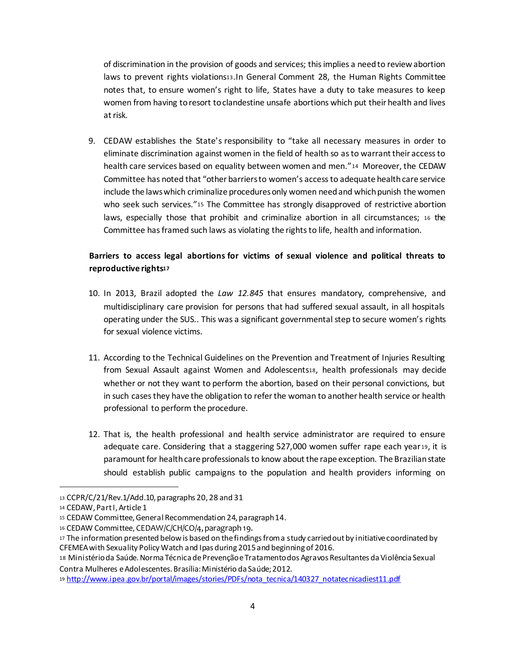of discrimination in the provision of goods and services; this implies a need to review abortion laws to prevent rights violations13.In General Comment 28, the Human Rights Committee notes that, to ensure women's right to life, States have a duty to take measures to keep women from having to resort to clandestine unsafe abortions which put their health and lives at risk.

9. CEDAW establishes the State's responsibility to "take all necessary measures in order to eliminate discrimination against women in the field of health so as to warrant their access to health care services based on equality between women and men."<sup>14</sup> Moreover, the CEDAW Committee has noted that "other barriers to women's access to adequate health care service include the laws which criminalize procedures only women need and which punish the women who seek such services."15 The Committee has strongly disapproved of restrictive abortion laws, especially those that prohibit and criminalize abortion in all circumstances; <sup>16</sup> the Committee has framed such laws as violating the rights to life, health and information.

# **Barriers to access legal abortions for victims of sexual violence and political threats to reproductive rights<sup>17</sup>**

- 10. In 2013, Brazil adopted the *Law 12.845* that ensures mandatory, comprehensive, and multidisciplinary care provision for persons that had suffered sexual assault, in all hospitals operating under the SUS.. This was a significant governmental step to secure women's rights for sexual violence victims.
- 11. According to the Technical Guidelines on the Prevention and Treatment of Injuries Resulting from Sexual Assault against Women and Adolescents18, health professionals may decide whether or not they want to perform the abortion, based on their personal convictions, but in such cases they have the obligation to refer the woman to another health service or health professional to perform the procedure.
- 12. That is, the health professional and health service administrator are required to ensure adequate care. Considering that a staggering 527,000 women suffer rape each year <sup>19</sup>, it is paramount for health care professionals to know about the rape exception. The Brazilian state should establish public campaigns to the population and health providers informing on

1

<sup>13</sup> CCPR/C/21/Rev.1/Add.10, paragraphs 20, 28 and 31

<sup>14</sup> CEDAW, Part I, Article 1

<sup>15</sup> CEDAW Committee, General Recommendation 24, paragraph 14.

<sup>16</sup> CEDAW Committee, CEDAW/C/CH/CO/4, paragraph 19.

<sup>17</sup> The information presented below is based on the findings from a study carried out by initiative coordinated by CFEMEA with Sexuality Policy Watch and Ipas during 2015 and beginning of 2016.

<sup>18</sup> Ministério da Saúde. Norma Técnica de Prevenção e Tratamento dos Agravos Resultantes da Violência Sexual Contra Mulheres e Adolescentes. Brasília: Ministério da Saúde; 2012.

<sup>19</sup> http://www.ipea.gov.br/portal/images/stories/PDFs/nota\_tecnica/140327\_notatecnicadiest11.pdf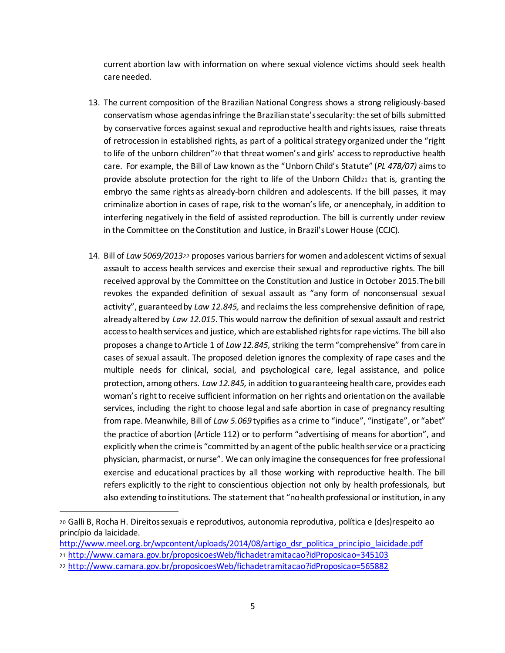current abortion law with information on where sexual violence victims should seek health care needed.

- 13. The current composition of the Brazilian National Congress shows a strong religiously-based conservatism whose agendas infringe the Brazilian state's secularity: the set of bills submitted by conservative forces against sexual and reproductive health and rights issues, raise threats of retrocession in established rights, as part of a political strategy organized under the "right to life of the unborn children"20 that threat women's and girls' access to reproductive health care. For example, the Bill of Law known as the "Unborn Child's Statute" (*PL 478/07)* aims to provide absolute protection for the right to life of the Unborn Child<sup>21</sup> that is, granting the embryo the same rights as already-born children and adolescents. If the bill passes, it may criminalize abortion in cases of rape, risk to the woman's life, or anencephaly, in addition to interfering negatively in the field of assisted reproduction. The bill is currently under review in the Committee on the Constitution and Justice, in Brazil's Lower House (CCJC).
- 14. Bill of *Law 5069/2013<sup>22</sup>* proposes various barriers for women and adolescent victims of sexual assault to access health services and exercise their sexual and reproductive rights. The bill received approval by the Committee on the Constitution and Justice in October 2015.The bill revokes the expanded definition of sexual assault as "any form of nonconsensual sexual activity", guaranteed by *Law 12.845,* and reclaims the less comprehensive definition of rape, already altered by *Law 12.015*. This would narrow the definition of sexual assault and restrict access to health services and justice, which are established rights for rape victims. The bill also proposes a change to Article 1 of *Law 12.845,*striking the term "comprehensive" from care in cases of sexual assault. The proposed deletion ignores the complexity of rape cases and the multiple needs for clinical, social, and psychological care, legal assistance, and police protection, among others. *Law 12.845,* in addition to guaranteeing health care, provides each woman's right to receive sufficient information on her rights and orientation on the available services, including the right to choose legal and safe abortion in case of pregnancy resulting from rape. Meanwhile, Bill of *Law 5.069* typifies as a crime to "induce", "instigate", or "abet" the practice of abortion (Article 112) or to perform "advertising of means for abortion", and explicitly when the crime is "committed by an agent of the public health service or a practicing physician, pharmacist, or nurse". We can only imagine the consequences for free professional exercise and educational practices by all those working with reproductive health. The bill refers explicitly to the right to conscientious objection not only by health professionals, but also extending to institutions. The statement that "no health professional or institution, in any

http://www.meel.org.br/wpcontent/uploads/2014/08/artigo\_dsr\_politica\_principio\_laicidade.pdf

<sup>20</sup> Galli B, Rocha H. Direitos sexuais e reprodutivos, autonomia reprodutiva, política e (des)respeito ao princípio da laicidade.

<sup>21</sup> http://www.camara.gov.br/proposicoesWeb/fichadetramitacao?idProposicao=345103

<sup>22</sup> http://www.camara.gov.br/proposicoesWeb/fichadetramitacao?idProposicao=565882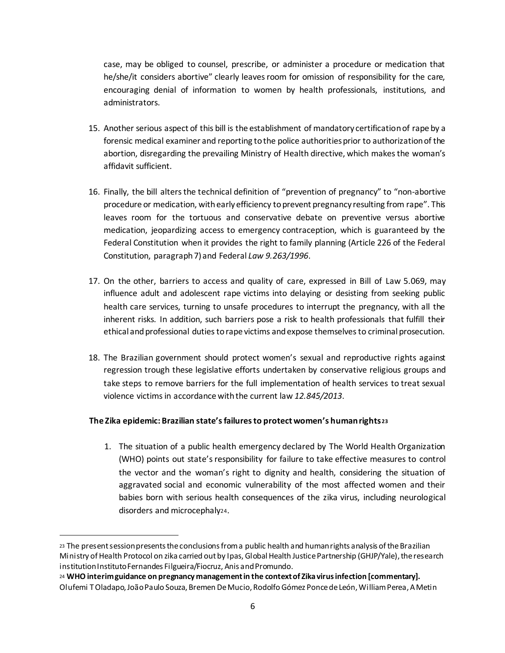case, may be obliged to counsel, prescribe, or administer a procedure or medication that he/she/it considers abortive" clearly leaves room for omission of responsibility for the care, encouraging denial of information to women by health professionals, institutions, and administrators.

- 15. Another serious aspect of this bill is the establishment of mandatory certification of rape by a forensic medical examiner and reporting to the police authorities prior to authorization of the abortion, disregarding the prevailing Ministry of Health directive, which makes the woman's affidavit sufficient.
- 16. Finally, the bill alters the technical definition of "prevention of pregnancy" to "non-abortive procedure or medication, with early efficiency to prevent pregnancy resulting from rape". This leaves room for the tortuous and conservative debate on preventive versus abortive medication, jeopardizing access to emergency contraception, which is guaranteed by the Federal Constitution when it provides the right to family planning (Article 226 of the Federal Constitution, paragraph 7) and Federal *Law 9.263/1996*.
- 17. On the other, barriers to access and quality of care, expressed in Bill of Law 5.069, may influence adult and adolescent rape victims into delaying or desisting from seeking public health care services, turning to unsafe procedures to interrupt the pregnancy, with all the inherent risks. In addition, such barriers pose a risk to health professionals that fulfill their ethical and professional duties to rape victims and expose themselves to criminal prosecution.
- 18. The Brazilian government should protect women's sexual and reproductive rights against regression trough these legislative efforts undertaken by conservative religious groups and take steps to remove barriers for the full implementation of health services to treat sexual violence victims in accordance with the current law *12.845/2013*.

#### **The Zika epidemic: Brazilian state's failures to protect women's human rights <sup>23</sup>**

1. The situation of a public health emergency declared by The World Health Organization (WHO) points out state's responsibility for failure to take effective measures to control the vector and the woman's right to dignity and health, considering the situation of aggravated social and economic vulnerability of the most affected women and their babies born with serious health consequences of the zika virus, including neurological disorders and microcephaly24.

<sup>23</sup> The present session presents the conclusions from a public health and human rights analysis of the Brazilian Ministry of Health Protocol on zika carried out by Ipas, Global Health Justice Partnership (GHJP/Yale), the research institution Instituto Fernandes Filgueira/Fiocruz, Anis and Promundo.

<sup>24</sup> **WHO interim guidance on pregnancy management in the context of Zika virus infection [commentary].**  Olufemi T Oladapo, João Paulo Souza, Bremen De Mucio, Rodolfo Gómez Ponce de León, William Perea, A Metin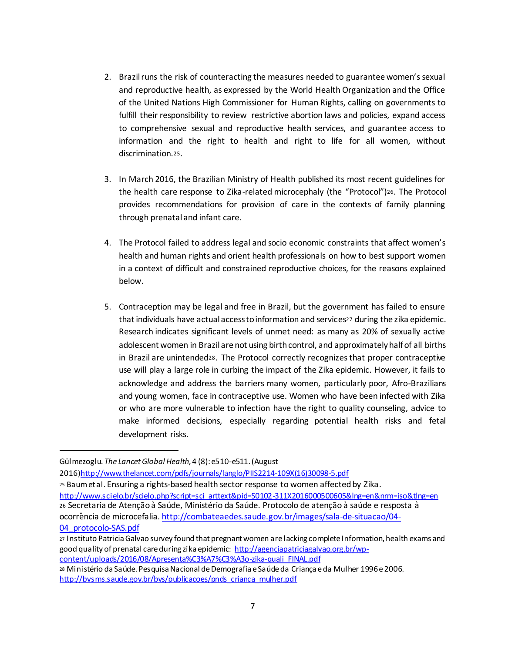- 2. Brazil runs the risk of counteracting the measures needed to guarantee women's sexual and reproductive health, as expressed by the World Health Organization and the Office of the United Nations High Commissioner for Human Rights, calling on governments to fulfill their responsibility to review restrictive abortion laws and policies, expand access to comprehensive sexual and reproductive health services, and guarantee access to information and the right to health and right to life for all women, without discrimination.25.
- 3. In March 2016, the Brazilian Ministry of Health published its most recent guidelines for the health care response to Zika-related microcephaly (the "Protocol")26. The Protocol provides recommendations for provision of care in the contexts of family planning through prenatal and infant care.
- 4. The Protocol failed to address legal and socio economic constraints that affect women's health and human rights and orient health professionals on how to best support women in a context of difficult and constrained reproductive choices, for the reasons explained below.
- 5. Contraception may be legal and free in Brazil, but the government has failed to ensure that individuals have actual access to information and services<sup>27</sup> during the zika epidemic. Research indicates significant levels of unmet need: as many as 20% of sexually active adolescent women in Brazil are not using birth control, and approximately half of all births in Brazil are unintended28. The Protocol correctly recognizes that proper contraceptive use will play a large role in curbing the impact of the Zika epidemic. However, it fails to acknowledge and address the barriers many women, particularly poor, Afro-Brazilians and young women, face in contraceptive use. Women who have been infected with Zika or who are more vulnerable to infection have the right to quality counseling, advice to make informed decisions, especially regarding potential health risks and fetal development risks.

Gülmezoglu. *The Lancet Global Health*, 4 (8): e510-e511. (August

<sup>2016)</sup>http://www.thelancet.com/pdfs/journals/langlo/PIIS2214-109X(16)30098-5.pdf

<sup>25</sup> Baum et al. Ensuring a rights-based health sector response to women affected by Zika. http://www.scielo.br/scielo.php?script=sci\_arttext&pid=S0102-311X2016000500605&lng=en&nrm=iso&tlng=en 26 Secretaria de Atenção à Saúde, Ministério da Saúde. Protocolo de atenção à saúde e resposta à ocorrência de microcefalia. http://combateaedes.saude.gov.br/images/sala-de-situacao/04- 04\_protocolo-SAS.pdf

<sup>27</sup> Instituto Patricia Galvao survey found that pregnant women are lacking complete Information, health exams and good quality of prenatal care during zika epidemic: http://agenciapatriciagalvao.org.br/wpcontent/uploads/2016/08/Apresenta%C3%A7%C3%A3o-zika-quali\_FINAL.pdf <sup>28</sup> Ministério da Saúde. Pesquisa Nacional de Demografia e Saúde da Criança e da Mulher 1996 e 2006.

http://bvsms.saude.gov.br/bvs/publicacoes/pnds\_crianca\_mulher.pdf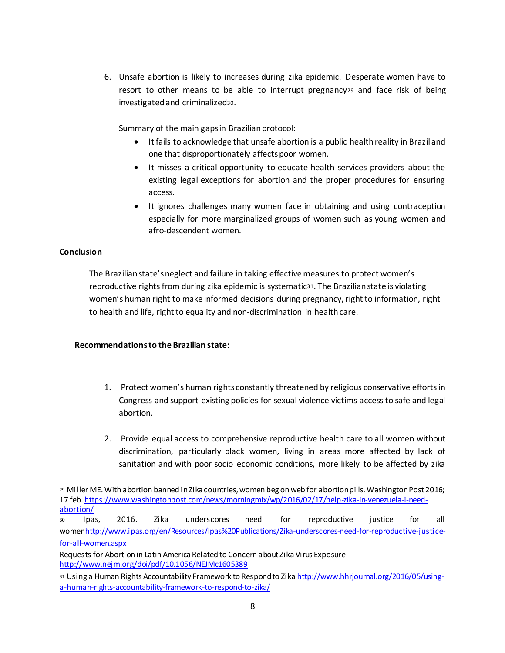6. Unsafe abortion is likely to increases during zika epidemic. Desperate women have to resort to other means to be able to interrupt pregnancy<sup>29</sup> and face risk of being investigated and criminalized30.

Summary of the main gaps in Brazilian protocol:

- It fails to acknowledge that unsafe abortion is a public health reality in Brazil and one that disproportionately affects poor women.
- It misses a critical opportunity to educate health services providers about the existing legal exceptions for abortion and the proper procedures for ensuring access.
- It ignores challenges many women face in obtaining and using contraception especially for more marginalized groups of women such as young women and afro-descendent women.

#### **Conclusion**

l

The Brazilian state's neglect and failure in taking effective measures to protect women's reproductive rights from during zika epidemic is systematic31. The Brazilian state is violating women's human right to make informed decisions during pregnancy, right to information, right to health and life, right to equality and non-discrimination in health care.

#### **Recommendationsto the Brazilian state:**

- 1. Protect women's human rights constantly threatened by religious conservative efforts in Congress and support existing policies for sexual violence victims access to safe and legal abortion.
- 2. Provide equal access to comprehensive reproductive health care to all women without discrimination, particularly black women, living in areas more affected by lack of sanitation and with poor socio economic conditions, more likely to be affected by zika

<sup>29</sup> Miller ME. With abortion banned in Zika countries, women beg on web for abortion pills. Washington Post 2016; 17 feb. https://www.washingtonpost.com/news/morningmix/wp/2016/02/17/help-zika-in-venezuela-i-needabortion/

<sup>30</sup> Ipas, 2016. Zika underscores need for reproductive justice for all womenhttp://www.ipas.org/en/Resources/Ipas%20Publications/Zika-underscores-need-for-reproductive-justicefor-all-women.aspx

Requests for Abortion in Latin America Related to Concern about Zika Virus Exposure http://www.nejm.org/doi/pdf/10.1056/NEJMc1605389

<sup>31</sup> Using a Human Rights Accountability Framework to Respond to Zika http://www.hhrjournal.org/2016/05/usinga-human-rights-accountability-framework-to-respond-to-zika/